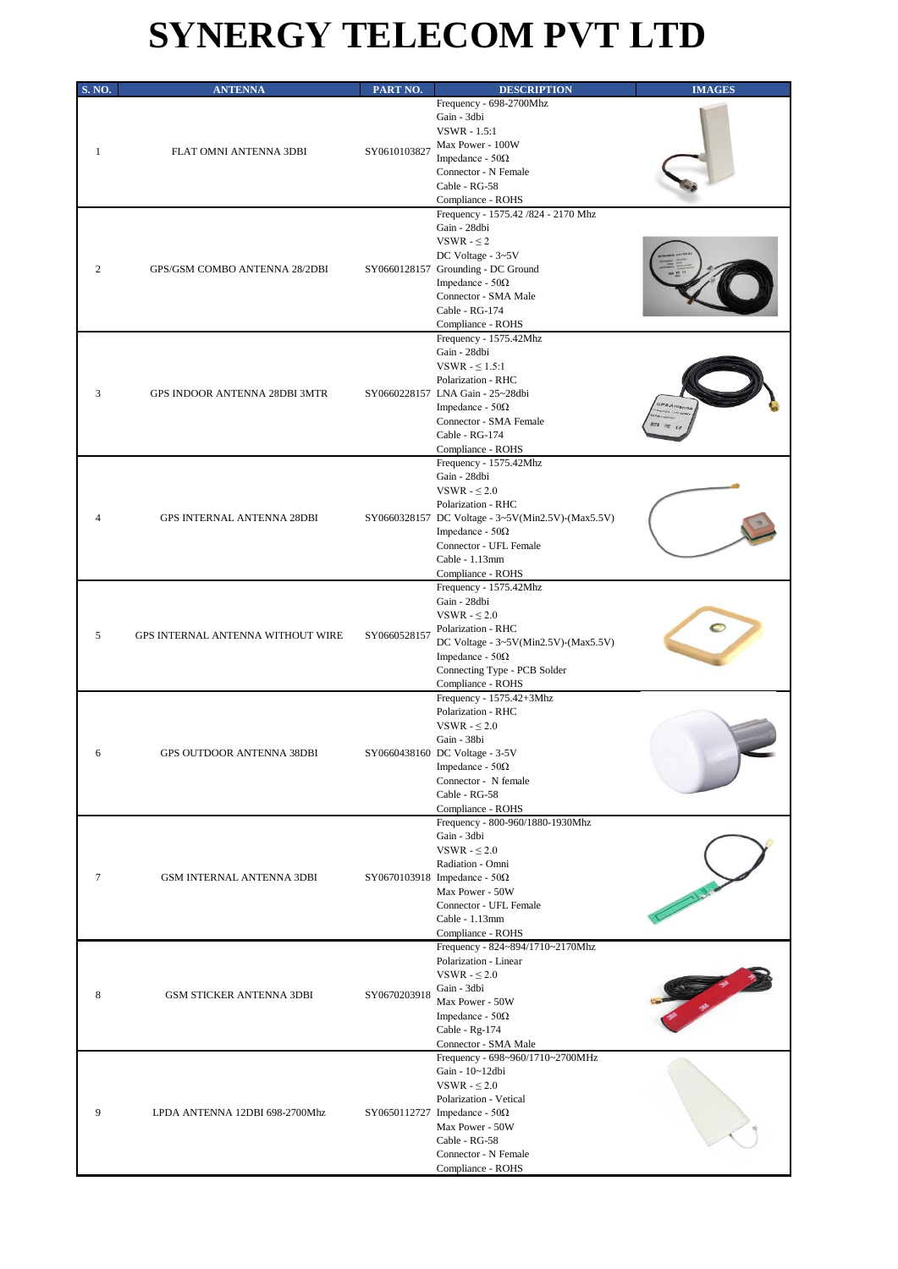## **SYNERGY TELECOM PVT LTD**

| <b>S. NO.</b> | <b>ANTENNA</b>                       | PART NO.     | <b>DESCRIPTION</b>                                                                                                                                                                                                                | <b>IMAGES</b> |
|---------------|--------------------------------------|--------------|-----------------------------------------------------------------------------------------------------------------------------------------------------------------------------------------------------------------------------------|---------------|
| 1             | FLAT OMNI ANTENNA 3DBI               | SY0610103827 | Frequency - 698-2700Mhz<br>Gain - 3dbi<br><b>VSWR</b> - 1.5:1<br>Max Power - 100W<br>Impedance - $50\Omega$<br>Connector - N Female<br>Cable - RG-58<br>Compliance - ROHS                                                         |               |
| 2             | <b>GPS/GSM COMBO ANTENNA 28/2DBI</b> |              | Frequency - 1575.42 /824 - 2170 Mhz<br>Gain - 28dbi<br>VSWR - $\leq$ 2<br>DC Voltage - 3~5V<br>SY0660128157 Grounding - DC Ground<br>Impedance - $50\Omega$<br>Connector - SMA Male<br>Cable - RG-174<br>Compliance - ROHS        |               |
| 3             | GPS INDOOR ANTENNA 28DBI 3MTR        |              | Frequency - 1575.42Mhz<br>Gain - 28dbi<br>VSWR $ \leq$ 1.5:1<br>Polarization - RHC<br>SY0660228157 LNA Gain - 25~28dbi<br>Impedance - $50\Omega$<br>Connector - SMA Female<br>Cable - RG-174<br>Compliance - ROHS                 | GPS Ante      |
|               | <b>GPS INTERNAL ANTENNA 28DBI</b>    |              | Frequency - 1575.42Mhz<br>Gain - 28dbi<br>VSWR - $\leq 2.0$<br>Polarization - RHC<br>SY0660328157 DC Voltage - 3~5V(Min2.5V)-(Max5.5V)<br>Impedance - $50\Omega$<br>Connector - UFL Female<br>Cable - 1.13mm<br>Compliance - ROHS |               |
| 5             | GPS INTERNAL ANTENNA WITHOUT WIRE    | SY0660528157 | Frequency - 1575.42Mhz<br>Gain - 28dbi<br>VSWR - $\leq 2.0$<br>Polarization - RHC<br>DC Voltage - 3~5V(Min2.5V)-(Max5.5V)<br>Impedance - $50\Omega$<br>Connecting Type - PCB Solder<br>Compliance - ROHS                          |               |
| 6             | GPS OUTDOOR ANTENNA 38DBI            |              | Frequency - 1575.42+3Mhz<br>Polarization - RHC<br>VSWR - $\leq 2.0$<br>Gain - 38bi<br>SY0660438160 DC Voltage - 3-5V<br>Impedance - $50\Omega$<br>Connector - N female<br>Cable - RG-58<br>Compliance - ROHS                      |               |
| 7             | GSM INTERNAL ANTENNA 3DBI            |              | Frequency - 800-960/1880-1930Mhz<br>Gain - 3dbi<br>VSWR - $\leq 2.0$<br>Radiation - Omni<br>SY0670103918 Impedance - $50\Omega$<br>Max Power - 50W<br>Connector - UFL Female<br>Cable - 1.13mm<br>Compliance - ROHS               |               |
| 8             | GSM STICKER ANTENNA 3DBI             | SY0670203918 | Frequency - 824~894/1710~2170Mhz<br>Polarization - Linear<br>VSWR - $\leq 2.0$<br>Gain - 3dbi<br>Max Power - 50W<br>Impedance - $50\Omega$<br>Cable - Rg-174<br>Connector - SMA Male                                              |               |
| 9             | LPDA ANTENNA 12DBI 698-2700Mhz       |              | Frequency - 698~960/1710~2700MHz<br>Gain - 10~12dbi<br>VSWR - $\leq$ 2.0<br>Polarization - Vetical<br>SY0650112727 Impedance - $50\Omega$<br>Max Power - 50W<br>Cable - RG-58<br>Connector - N Female<br>Compliance - ROHS        |               |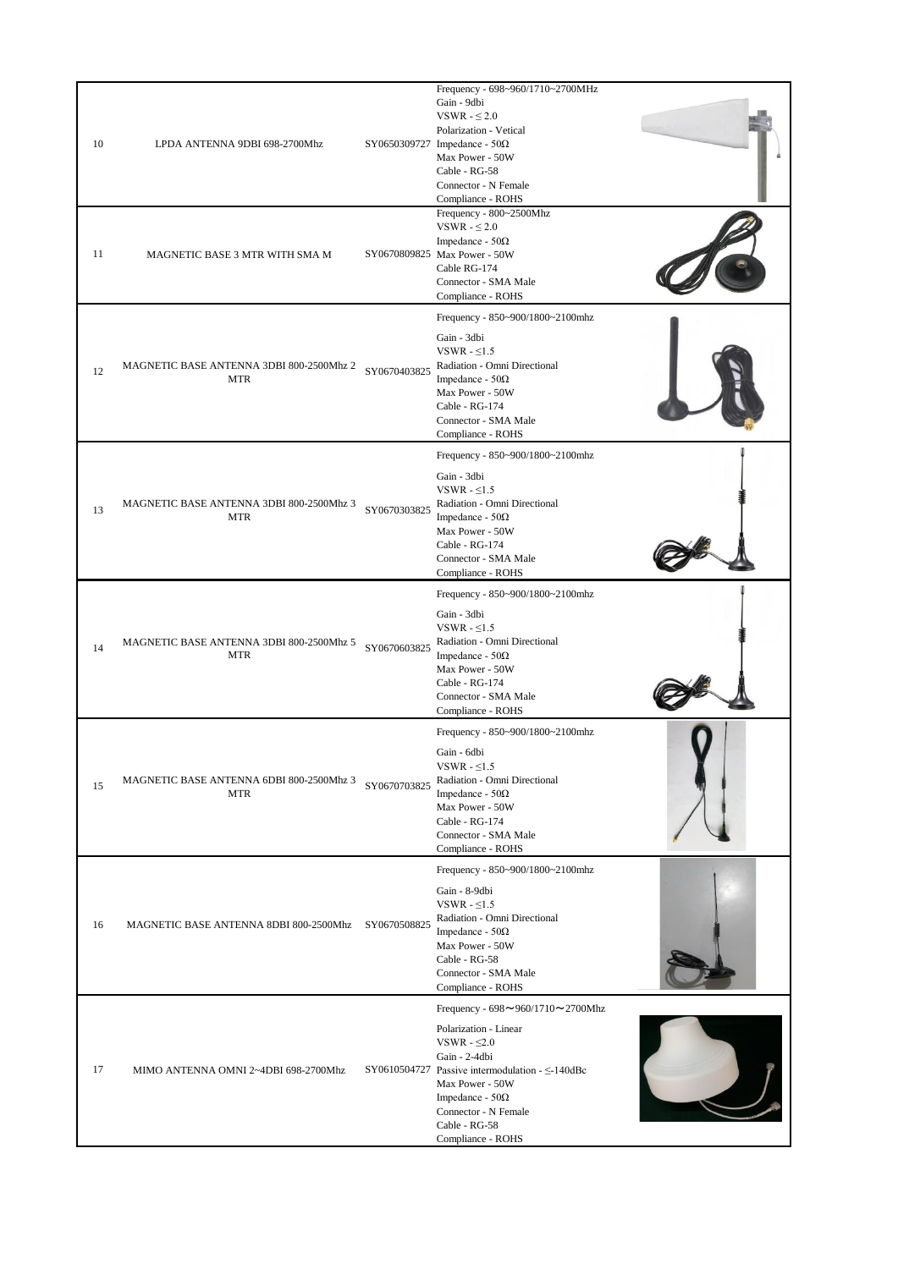| 10 | LPDA ANTENNA 9DBI 698-2700Mhz                          |              | Frequency - 698~960/1710~2700MHz<br>Gain - 9dbi<br>VSWR - $\leq 2.0$<br>Polarization - Vetical<br>SY0650309727 Impedance - $50\Omega$<br>Max Power - 50W<br>Cable - RG-58<br>Connector - N Female<br>Compliance - ROHS                                                          |  |
|----|--------------------------------------------------------|--------------|---------------------------------------------------------------------------------------------------------------------------------------------------------------------------------------------------------------------------------------------------------------------------------|--|
| 11 | MAGNETIC BASE 3 MTR WITH SMA M                         |              | Frequency - 800~2500Mhz<br>VSWR - $\leq 2.0$<br>Impedance - $50\Omega$<br>SY0670809825 Max Power - 50W<br>Cable RG-174<br>Connector - SMA Male<br>Compliance - ROHS                                                                                                             |  |
| 12 | MAGNETIC BASE ANTENNA 3DBI 800-2500Mhz 2<br><b>MTR</b> | SY0670403825 | Frequency - 850~900/1800~2100mhz<br>Gain - 3dbi<br>VSWR $-5.5$<br>Radiation - Omni Directional<br>Impedance - $50\Omega$<br>Max Power - 50W<br>Cable - RG-174<br>Connector - SMA Male<br>Compliance - ROHS                                                                      |  |
| 13 | MAGNETIC BASE ANTENNA 3DBI 800-2500Mhz 3<br><b>MTR</b> | SY0670303825 | Frequency - 850~900/1800~2100mhz<br>Gain - 3dbi<br>VSWR $-5.5$<br>Radiation - Omni Directional<br>Impedance - $50\Omega$<br>Max Power - 50W<br>Cable - RG-174<br>Connector - SMA Male<br>Compliance - ROHS                                                                      |  |
| 14 | MAGNETIC BASE ANTENNA 3DBI 800-2500Mhz 5<br><b>MTR</b> | SY0670603825 | Frequency - 850~900/1800~2100mhz<br>Gain - 3dbi<br>VSWR $-5.5$<br>Radiation - Omni Directional<br>Impedance - $50\Omega$<br>Max Power - 50W<br>Cable - RG-174<br>Connector - SMA Male<br>Compliance - ROHS                                                                      |  |
| 15 | MAGNETIC BASE ANTENNA 6DBI 800-2500Mhz 3<br><b>MTR</b> | SY0670703825 | Frequency - 850~900/1800~2100mhz<br>Gain - 6dbi<br>VSWR - $\leq$ 1.5<br>Radiation - Omni Directional<br>Impedance - $50\Omega$<br>Max Power - 50W<br>Cable - RG-174<br>Connector - SMA Male<br>Compliance - ROHS                                                                |  |
| 16 | MAGNETIC BASE ANTENNA 8DBI 800-2500Mhz                 | SY0670508825 | Frequency - 850~900/1800~2100mhz<br>Gain - 8-9dbi<br>VSWR - $\leq$ 1.5<br>Radiation - Omni Directional<br>Impedance - $50\Omega$<br>Max Power - 50W<br>Cable - RG-58<br>Connector - SMA Male<br>Compliance - ROHS                                                               |  |
| 17 | MIMO ANTENNA OMNI 2~4DBI 698-2700Mhz                   |              | Frequency - $698 \sim 960/1710 \sim 2700$ Mhz<br>Polarization - Linear<br>VSWR - $\leq 2.0$<br>Gain - 2-4dbi<br>SY0610504727 Passive intermodulation $-\leq$ -140dBc<br>Max Power - 50W<br>Impedance - $50\Omega$<br>Connector - N Female<br>Cable - RG-58<br>Compliance - ROHS |  |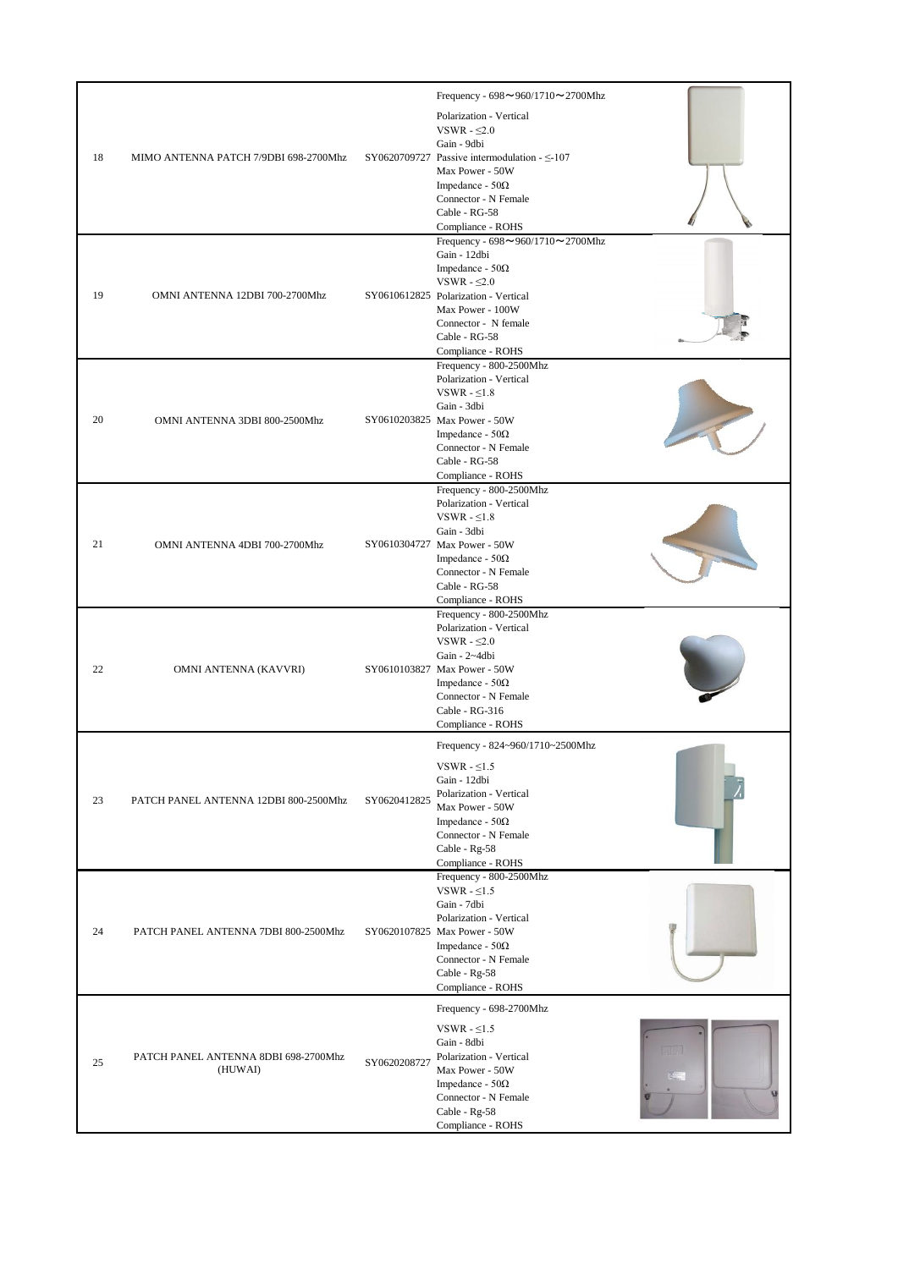| 18 | MIMO ANTENNA PATCH 7/9DBI 698-2700Mhz           |              | Frequency - $698 \sim 960/1710 \sim 2700$ Mhz<br>Polarization - Vertical<br>VSWR - $\leq 2.0$<br>Gain - 9dbi<br>SY0620709727 Passive intermodulation - $\leq$ -107<br>Max Power - 50W<br>Impedance - $50\Omega$<br>Connector - N Female<br>Cable - RG-58<br>Compliance - ROHS |  |
|----|-------------------------------------------------|--------------|-------------------------------------------------------------------------------------------------------------------------------------------------------------------------------------------------------------------------------------------------------------------------------|--|
| 19 | OMNI ANTENNA 12DBI 700-2700Mhz                  |              | Frequency - $698 \sim 960/1710 \sim 2700$ Mhz<br>Gain - 12dbi<br>Impedance - $50\Omega$<br>VSWR - $\leq 2.0$<br>SY0610612825 Polarization - Vertical<br>Max Power - 100W<br>Connector - N female<br>Cable - RG-58<br>Compliance - ROHS                                        |  |
| 20 | OMNI ANTENNA 3DBI 800-2500Mhz                   |              | Frequency - 800-2500Mhz<br>Polarization - Vertical<br>VSWR $-51.8$<br>Gain - 3dbi<br>SY0610203825 Max Power - 50W<br>Impedance - $50\Omega$<br>Connector - N Female<br>Cable - RG-58<br>Compliance - ROHS                                                                     |  |
| 21 | OMNI ANTENNA 4DBI 700-2700Mhz                   |              | Frequency - 800-2500Mhz<br>Polarization - Vertical<br>VSWR $-51.8$<br>Gain - 3dbi<br>SY0610304727 Max Power - 50W<br>Impedance - $50\Omega$<br>Connector - N Female<br>Cable - RG-58<br>Compliance - ROHS                                                                     |  |
| 22 | OMNI ANTENNA (KAVVRI)                           |              | Frequency - 800-2500Mhz<br>Polarization - Vertical<br>VSWR - $\leq 2.0$<br>Gain - 2~4dbi<br>SY0610103827 Max Power - 50W<br>Impedance - $50\Omega$<br>Connector - N Female<br>Cable - RG-316<br>Compliance - ROHS                                                             |  |
| 23 | PATCH PANEL ANTENNA 12DBI 800-2500Mhz           | SY0620412825 | Frequency - 824~960/1710~2500Mhz<br>VSWR - $\leq1.5$<br>Gain - 12dbi<br>Polarization - Vertical<br>Max Power - 50W<br>Impedance - $50\Omega$<br>Connector - N Female<br>Cable - Rg-58<br>Compliance - ROHS                                                                    |  |
| 24 | PATCH PANEL ANTENNA 7DBI 800-2500Mhz            |              | Frequency - 800-2500Mhz<br>VSWR - $\leq$ 1.5<br>Gain - 7dbi<br>Polarization - Vertical<br>SY0620107825 Max Power - 50W<br>Impedance - $50\Omega$<br>Connector - N Female<br>Cable - Rg-58<br>Compliance - ROHS                                                                |  |
| 25 | PATCH PANEL ANTENNA 8DBI 698-2700Mhz<br>(HUWAI) | SY0620208727 | Frequency - 698-2700Mhz<br>VSWR - $\leq$ 1.5<br>Gain - 8dbi<br>Polarization - Vertical<br>Max Power - 50W<br>Impedance - $50\Omega$<br>Connector - N Female<br>Cable - Rg-58<br>Compliance - ROHS                                                                             |  |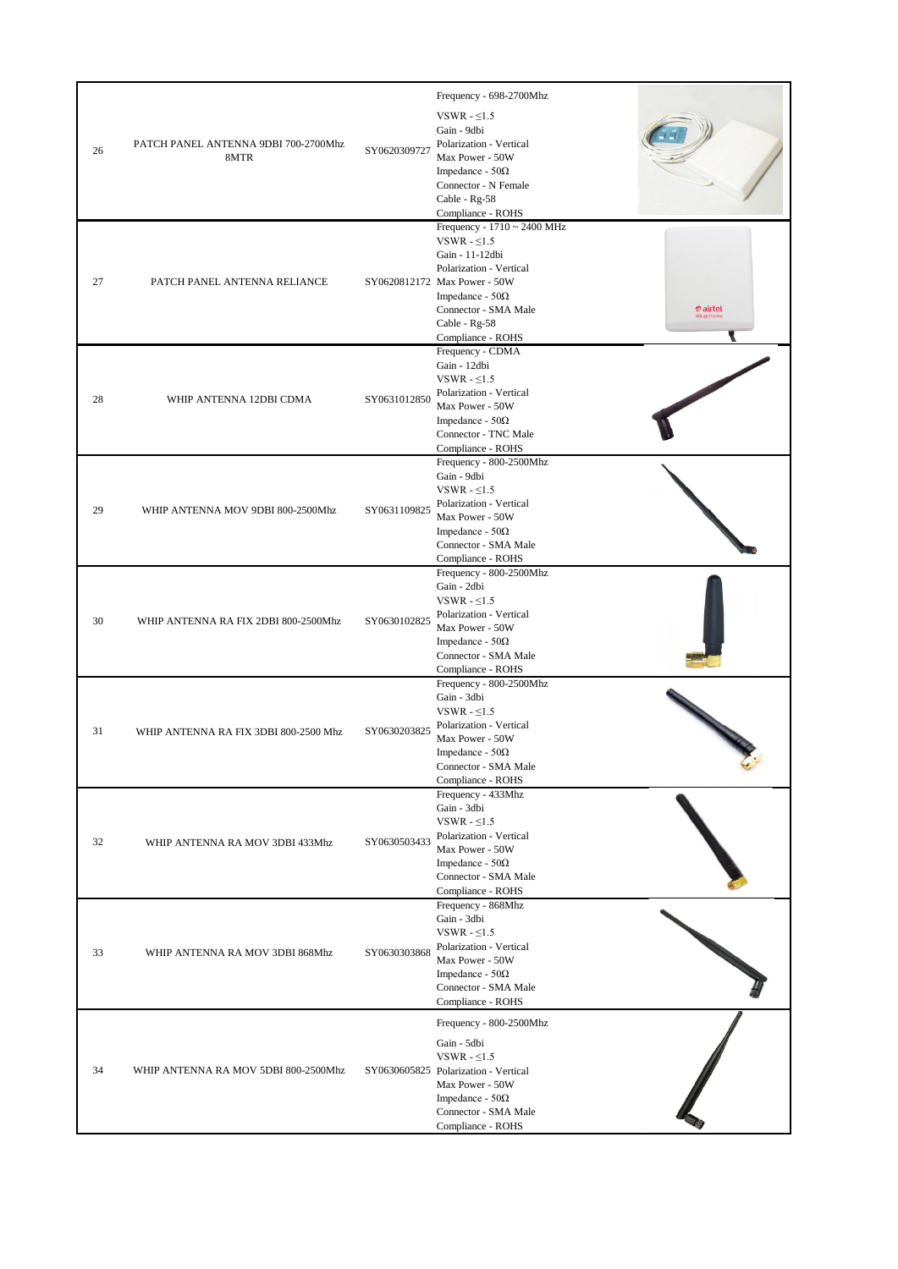| 26 | PATCH PANEL ANTENNA 9DBI 700-2700Mhz<br>8MTR | SY0620309727 | Frequency - 698-2700Mhz<br>VSWR $-5.5$<br>Gain - 9dbi<br>Polarization - Vertical<br>Max Power - 50W<br>Impedance - $50\Omega$<br>Connector - N Female<br>Cable - Rg-58<br>Compliance - ROHS                                                           |
|----|----------------------------------------------|--------------|-------------------------------------------------------------------------------------------------------------------------------------------------------------------------------------------------------------------------------------------------------|
| 27 | PATCH PANEL ANTENNA RELIANCE                 |              | Frequency - 1710 ~ 2400 MHz<br>VSWR $-5.5$<br>Gain - 11-12dbi<br>Polarization - Vertical<br>SY0620812172 Max Power - 50W<br>Impedance - $50\Omega$<br><b><i>D</i></b> airtel<br>Connector - SMA Male<br>G @ hon<br>Cable - Rg-58<br>Compliance - ROHS |
| 28 | WHIP ANTENNA 12DBI CDMA                      | SY0631012850 | Frequency - CDMA<br>Gain - 12dbi<br>VSWR - $\leq$ 1.5<br>Polarization - Vertical<br>Max Power - 50W<br>Impedance - $50\Omega$<br>Connector - TNC Male<br>Compliance - ROHS                                                                            |
| 29 | WHIP ANTENNA MOV 9DBI 800-2500Mhz            | SY0631109825 | Frequency - 800-2500Mhz<br>Gain - 9dbi<br>VSWR - $\leq$ 1.5<br>Polarization - Vertical<br>Max Power - 50W<br>Impedance - $50\Omega$<br>Connector - SMA Male<br>Compliance - ROHS                                                                      |
| 30 | WHIP ANTENNA RA FIX 2DBI 800-2500Mhz         | SY0630102825 | Frequency - 800-2500Mhz<br>Gain - 2dbi<br>VSWR - $\leq$ 1.5<br>Polarization - Vertical<br>Max Power - 50W<br>Impedance - $50\Omega$<br>Connector - SMA Male<br>Compliance - ROHS                                                                      |
| 31 | WHIP ANTENNA RA FIX 3DBI 800-2500 Mhz        | SY0630203825 | Frequency - 800-2500Mhz<br>Gain - 3dbi<br>VSWR - $\leq$ 1.5<br>Polarization - Vertical<br>Max Power - 50W<br>Impedance - $50\Omega$<br>Connector - SMA Male<br>Compliance - ROHS                                                                      |
| 32 | WHIP ANTENNA RA MOV 3DBI 433Mhz              | SY0630503433 | Frequency - 433Mhz<br>Gain - 3dbi<br>VSWR - $\leq$ 1.5<br>Polarization - Vertical<br>Max Power - 50W<br>Impedance - $50\Omega$<br>Connector - SMA Male<br>Compliance - ROHS                                                                           |
| 33 | WHIP ANTENNA RA MOV 3DBI 868Mhz              | SY0630303868 | Frequency - 868Mhz<br>Gain - 3dbi<br>VSWR - $\leq$ 1.5<br>Polarization - Vertical<br>Max Power - 50W<br>Impedance - $50\Omega$<br>Connector - SMA Male<br>Compliance - ROHS                                                                           |
| 34 | WHIP ANTENNA RA MOV 5DBI 800-2500Mhz         |              | Frequency - 800-2500Mhz<br>Gain - 5dbi<br>VSWR - $\leq$ 1.5<br>SY0630605825 Polarization - Vertical<br>Max Power - 50W<br>Impedance - $50\Omega$<br>Connector - SMA Male<br>Compliance - ROHS                                                         |